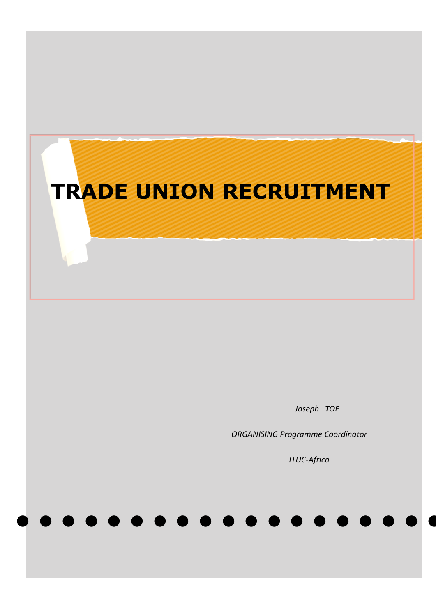# **TRADE UNION RECRUITMENT**

 *Joseph TOE*

 *ORGANISING Programme Coordinator*

● ● ● ● ● ● ● ● ● ● ● ● ● ● ● ● ● ● ● ●

 *ITUC-Africa*

1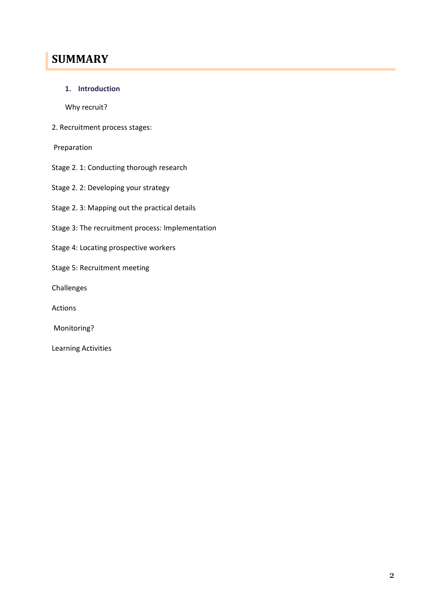# **SUMMARY**

**1. Introduction**

Why recruit?

2. Recruitment process stages:

Preparation

- Stage 2. 1: Conducting thorough research
- Stage 2. 2: Developing your strategy
- Stage 2. 3: Mapping out the practical details
- Stage 3: The recruitment process: Implementation
- Stage 4: Locating prospective workers
- Stage 5: Recruitment meeting
- Challenges
- Actions
- Monitoring?
- Learning Activities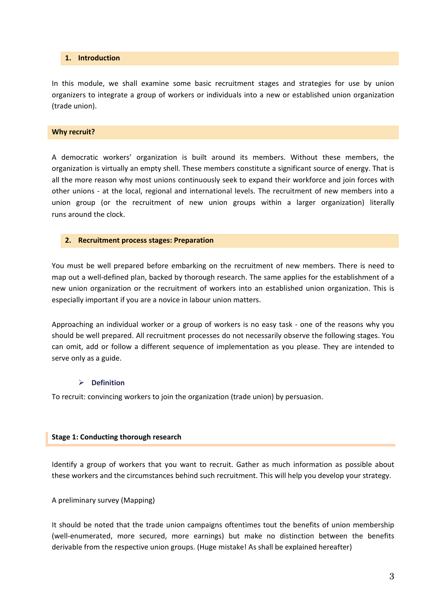#### **1. Introduction**

In this module, we shall examine some basic recruitment stages and strategies for use by union organizers to integrate a group of workers or individuals into a new or established union organization (trade union).

#### **Why recruit?**

A democratic workers' organization is built around its members. Without these members, the organization is virtually an empty shell. These members constitute a significant source of energy. That is all the more reason why most unions continuously seek to expand their workforce and join forces with other unions - at the local, regional and international levels. The recruitment of new members into a union group (or the recruitment of new union groups within a larger organization) literally runs around the clock.

#### **2. Recruitment process stages: Preparation**

You must be well prepared before embarking on the recruitment of new members. There is need to map out a well-defined plan, backed by thorough research. The same applies for the establishment of a new union organization or the recruitment of workers into an established union organization. This is especially important if you are a novice in labour union matters.

Approaching an individual worker or a group of workers is no easy task - one of the reasons why you should be well prepared. All recruitment processes do not necessarily observe the following stages. You can omit, add or follow a different sequence of implementation as you please. They are intended to serve only as a guide.

# **Definition**

To recruit: convincing workers to join the organization (trade union) by persuasion.

# **Stage 1: Conducting thorough research**

Identify a group of workers that you want to recruit. Gather as much information as possible about these workers and the circumstances behind such recruitment. This will help you develop your strategy.

A preliminary survey (Mapping)

It should be noted that the trade union campaigns oftentimes tout the benefits of union membership (well-enumerated, more secured, more earnings) but make no distinction between the benefits derivable from the respective union groups. (Huge mistake! As shall be explained hereafter)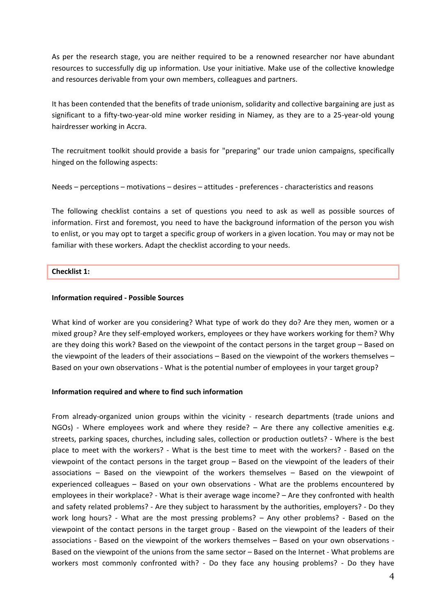As per the research stage, you are neither required to be a renowned researcher nor have abundant resources to successfully dig up information. Use your initiative. Make use of the collective knowledge and resources derivable from your own members, colleagues and partners.

It has been contended that the benefits of trade unionism, solidarity and collective bargaining are just as significant to a fifty-two-year-old mine worker residing in Niamey, as they are to a 25-year-old young hairdresser working in Accra.

The recruitment toolkit should provide a basis for "preparing" our trade union campaigns, specifically hinged on the following aspects:

Needs – perceptions – motivations – desires – attitudes - preferences - characteristics and reasons

The following checklist contains a set of questions you need to ask as well as possible sources of information. First and foremost, you need to have the background information of the person you wish to enlist, or you may opt to target a specific group of workers in a given location. You may or may not be familiar with these workers. Adapt the checklist according to your needs.

# **Checklist 1:**

# **Information required - Possible Sources**

What kind of worker are you considering? What type of work do they do? Are they men, women or a mixed group? Are they self-employed workers, employees or they have workers working for them? Why are they doing this work? Based on the viewpoint of the contact persons in the target group – Based on the viewpoint of the leaders of their associations – Based on the viewpoint of the workers themselves – Based on your own observations - What is the potential number of employees in your target group?

# **Information required and where to find such information**

From already-organized union groups within the vicinity - research departments (trade unions and NGOs) - Where employees work and where they reside? - Are there any collective amenities e.g. streets, parking spaces, churches, including sales, collection or production outlets? - Where is the best place to meet with the workers? - What is the best time to meet with the workers? - Based on the viewpoint of the contact persons in the target group – Based on the viewpoint of the leaders of their associations – Based on the viewpoint of the workers themselves – Based on the viewpoint of experienced colleagues – Based on your own observations - What are the problems encountered by employees in their workplace? - What is their average wage income? – Are they confronted with health and safety related problems? - Are they subject to harassment by the authorities, employers? - Do they work long hours? - What are the most pressing problems? – Any other problems? - Based on the viewpoint of the contact persons in the target group - Based on the viewpoint of the leaders of their associations - Based on the viewpoint of the workers themselves – Based on your own observations - Based on the viewpoint of the unions from the same sector – Based on the Internet - What problems are workers most commonly confronted with? - Do they face any housing problems? - Do they have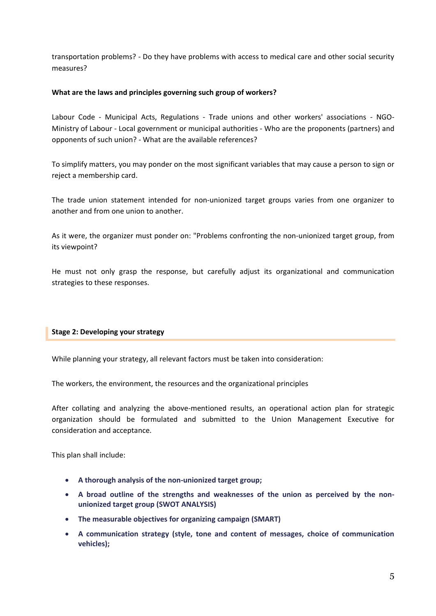transportation problems? - Do they have problems with access to medical care and other social security measures?

# **What are the laws and principles governing such group of workers?**

Labour Code - Municipal Acts, Regulations - Trade unions and other workers' associations - NGO-Ministry of Labour - Local government or municipal authorities - Who are the proponents (partners) and opponents of such union? - What are the available references?

To simplify matters, you may ponder on the most significant variables that may cause a person to sign or reject a membership card.

The trade union statement intended for non-unionized target groups varies from one organizer to another and from one union to another.

As it were, the organizer must ponder on: "Problems confronting the non-unionized target group, from its viewpoint?

He must not only grasp the response, but carefully adjust its organizational and communication strategies to these responses.

# **Stage 2: Developing your strategy**

While planning your strategy, all relevant factors must be taken into consideration:

The workers, the environment, the resources and the organizational principles

After collating and analyzing the above-mentioned results, an operational action plan for strategic organization should be formulated and submitted to the Union Management Executive for consideration and acceptance.

This plan shall include:

- **A thorough analysis of the non-unionized target group;**
- **A broad outline of the strengths and weaknesses of the union as perceived by the nonunionized target group (SWOT ANALYSIS)**
- **The measurable objectives for organizing campaign (SMART)**
- **A communication strategy (style, tone and content of messages, choice of communication vehicles);**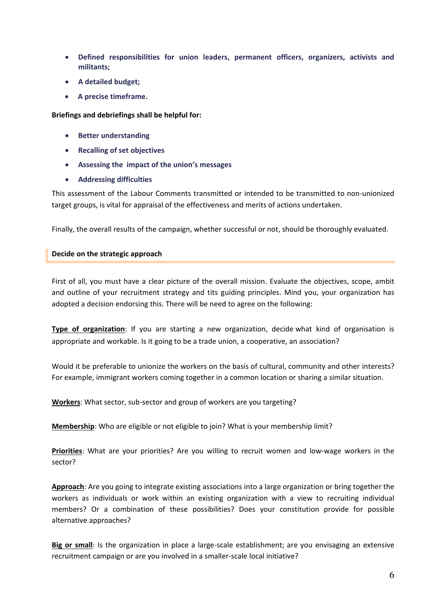- **Defined responsibilities for union leaders, permanent officers, organizers, activists and militants;**
- **A detailed budget;**
- **A precise timeframe.**

**Briefings and debriefings shall be helpful for:**

- **•** Better understanding
- **Recalling of set objectives**
- **Assessing the impact of the union's messages**
- **Addressing difficulties**

This assessment of the Labour Comments transmitted or intended to be transmitted to non-unionized target groups, is vital for appraisal of the effectiveness and merits of actions undertaken.

Finally, the overall results of the campaign, whether successful or not, should be thoroughly evaluated.

# **Decide on the strategic approach**

First of all, you must have a clear picture of the overall mission. Evaluate the objectives, scope, ambit and outline of your recruitment strategy and tits guiding principles. Mind you, your organization has adopted a decision endorsing this. There will be need to agree on the following:

**Type of organization**: If you are starting a new organization, decide what kind of organisation is appropriate and workable. Is it going to be a trade union, a cooperative, an association?

Would it be preferable to unionize the workers on the basis of cultural, community and other interests? For example, immigrant workers coming together in a common location or sharing a similar situation.

**Workers**: What sector, sub-sector and group of workers are you targeting?

**Membership**: Who are eligible or not eligible to join? What is your membership limit?

**Priorities**: What are your priorities? Are you willing to recruit women and low-wage workers in the sector?

**Approach**: Are you going to integrate existing associations into a large organization or bring together the workers as individuals or work within an existing organization with a view to recruiting individual members? Or a combination of these possibilities? Does your constitution provide for possible alternative approaches?

**Big or small**: Is the organization in place a large-scale establishment; are you envisaging an extensive recruitment campaign or are you involved in a smaller-scale local initiative?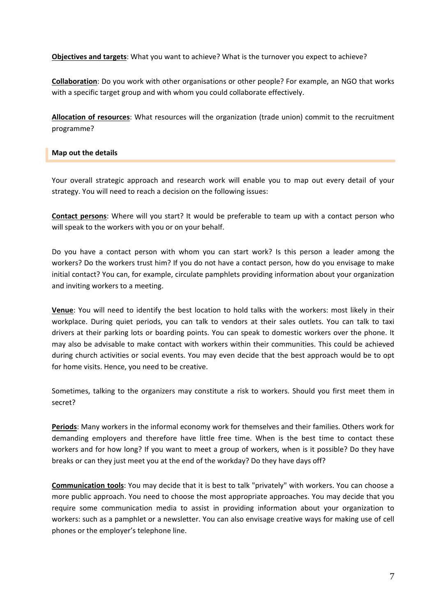**Objectives and targets**: What you want to achieve? What is the turnover you expect to achieve?

**Collaboration**: Do you work with other organisations or other people? For example, an NGO that works with a specific target group and with whom you could collaborate effectively.

**Allocation of resources**: What resources will the organization (trade union) commit to the recruitment programme?

## **Map out the details**

Your overall strategic approach and research work will enable you to map out every detail of your strategy. You will need to reach a decision on the following issues:

**Contact persons**: Where will you start? It would be preferable to team up with a contact person who will speak to the workers with you or on your behalf.

Do you have a contact person with whom you can start work? Is this person a leader among the workers? Do the workers trust him? If you do not have a contact person, how do you envisage to make initial contact? You can, for example, circulate pamphlets providing information about your organization and inviting workers to a meeting.

**Venue**: You will need to identify the best location to hold talks with the workers: most likely in their workplace. During quiet periods, you can talk to vendors at their sales outlets. You can talk to taxi drivers at their parking lots or boarding points. You can speak to domestic workers over the phone. It may also be advisable to make contact with workers within their communities. This could be achieved during church activities or social events. You may even decide that the best approach would be to opt for home visits. Hence, you need to be creative.

Sometimes, talking to the organizers may constitute a risk to workers. Should you first meet them in secret?

**Periods**: Many workers in the informal economy work for themselves and their families. Others work for demanding employers and therefore have little free time. When is the best time to contact these workers and for how long? If you want to meet a group of workers, when is it possible? Do they have breaks or can they just meet you at the end of the workday? Do they have days off?

**Communication tools**: You may decide that it is best to talk "privately" with workers. You can choose a more public approach. You need to choose the most appropriate approaches. You may decide that you require some communication media to assist in providing information about your organization to workers: such as a pamphlet or a newsletter. You can also envisage creative ways for making use of cell phones or the employer's telephone line.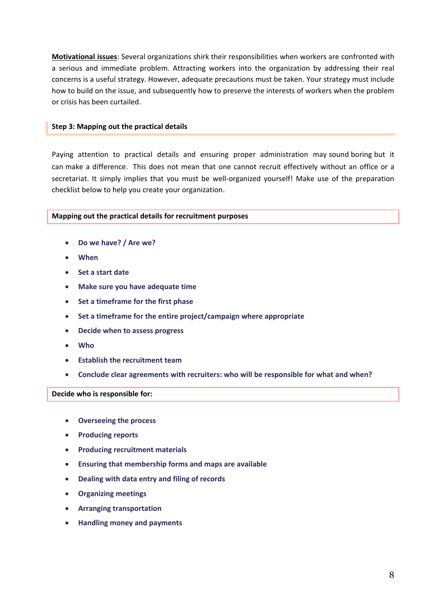**Motivational issues**: Several organizations shirk their responsibilities when workers are confronted with a serious and immediate problem. Attracting workers into the organization by addressing their real concerns is a useful strategy. However, adequate precautions must be taken. Your strategy must include how to build on the issue, and subsequently how to preserve the interests of workers when the problem or crisis has been curtailed.

# **Step 3: Mapping out the practical details**

Paying attention to practical details and ensuring proper administration may sound boring but it can make a difference. This does not mean that one cannot recruit effectively without an office or a secretariat. It simply implies that you must be well-organized yourself! Make use of the preparation checklist below to help you create your organization.

# **Mapping out the practical details for recruitment purposes**

- **Do we have? / Are we?**
- **When**
- **Set a start date**
- **Make sure you have adequate time**
- **Set a timeframe for the first phase**
- **Set a timeframe for the entire project/campaign where appropriate**
- **Decide when to assess progress**
- **Who**
- **Establish the recruitment team**
- **Conclude clear agreements with recruiters: who will be responsible for what and when?**

**Decide who is responsible for:**

- **Overseeing the process**
- **Producing reports**
- **Producing recruitment materials**
- **Ensuring that membership forms and maps are available**
- **Dealing with data entry and filing of records**
- **Organizing meetings**
- **Arranging transportation**
- **Handling money and payments**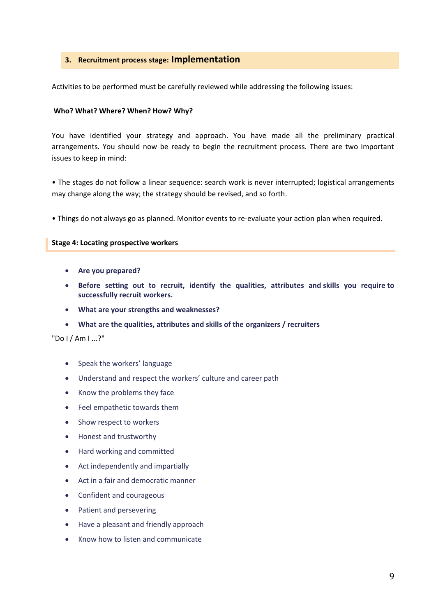# **3. Recruitment process stage: Implementation**

Activities to be performed must be carefully reviewed while addressing the following issues:

#### **Who? What? Where? When? How? Why?**

You have identified your strategy and approach. You have made all the preliminary practical arrangements. You should now be ready to begin the recruitment process. There are two important issues to keep in mind:

• The stages do not follow a linear sequence: search work is never interrupted; logistical arrangements may change along the way; the strategy should be revised, and so forth.

• Things do not always go as planned. Monitor events to re-evaluate your action plan when required.

#### **Stage 4: Locating prospective workers**

- **Are you prepared?**
- **Before setting out to recruit, identify the qualities, attributes and skills you require to successfully recruit workers.**
- **What are your strengths and weaknesses?**
- **What are the qualities, attributes and skills of the organizers / recruiters**

"Do I / Am I ...?"

- Speak the workers' language
- Understand and respect the workers' culture and career path
- Know the problems they face
- Feel empathetic towards them
- Show respect to workers
- Honest and trustworthy
- Hard working and committed
- Act independently and impartially
- Act in a fair and democratic manner
- Confident and courageous
- Patient and persevering
- Have a pleasant and friendly approach
- Know how to listen and communicate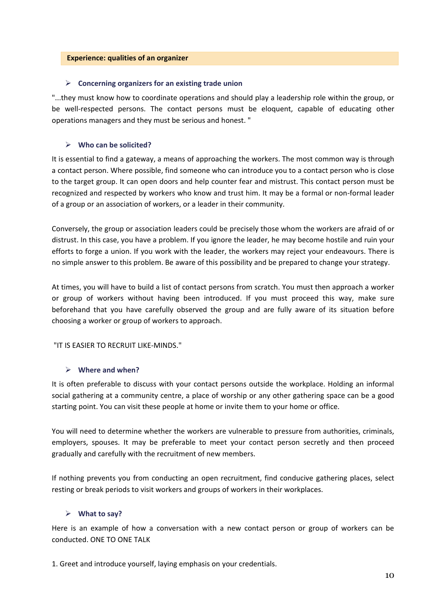#### **Experience: qualities of an organizer**

# **Concerning organizers for an existing trade union**

"...they must know how to coordinate operations and should play a leadership role within the group, or be well-respected persons. The contact persons must be eloquent, capable of educating other operations managers and they must be serious and honest. "

# **Who can be solicited?**

It is essential to find a gateway, a means of approaching the workers. The most common way is through a contact person. Where possible, find someone who can introduce you to a contact person who is close to the target group. It can open doors and help counter fear and mistrust. This contact person must be recognized and respected by workers who know and trust him. It may be a formal or non-formal leader of a group or an association of workers, or a leader in their community.

Conversely, the group or association leaders could be precisely those whom the workers are afraid of or distrust. In this case, you have a problem. If you ignore the leader, he may become hostile and ruin your efforts to forge a union. If you work with the leader, the workers may reject your endeavours. There is no simple answer to this problem. Be aware of this possibility and be prepared to change your strategy.

At times, you will have to build a list of contact persons from scratch. You must then approach a worker or group of workers without having been introduced. If you must proceed this way, make sure beforehand that you have carefully observed the group and are fully aware of its situation before choosing a worker or group of workers to approach.

# "IT IS EASIER TO RECRUIT LIKE-MINDS."

# **Where and when?**

It is often preferable to discuss with your contact persons outside the workplace. Holding an informal social gathering at a community centre, a place of worship or any other gathering space can be a good starting point. You can visit these people at home or invite them to your home or office.

You will need to determine whether the workers are vulnerable to pressure from authorities, criminals, employers, spouses. It may be preferable to meet your contact person secretly and then proceed gradually and carefully with the recruitment of new members.

If nothing prevents you from conducting an open recruitment, find conducive gathering places, select resting or break periods to visit workers and groups of workers in their workplaces.

# **What to say?**

Here is an example of how a conversation with a new contact person or group of workers can be conducted. ONE TO ONE TALK

1. Greet and introduce yourself, laying emphasis on your credentials.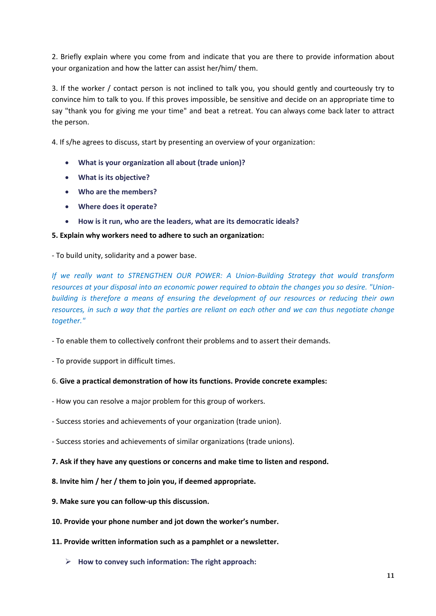2. Briefly explain where you come from and indicate that you are there to provide information about your organization and how the latter can assist her/him/ them.

3. If the worker / contact person is not inclined to talk you, you should gently and courteously try to convince him to talk to you. If this proves impossible, be sensitive and decide on an appropriate time to say "thank you for giving me your time" and beat a retreat. You can always come back later to attract the person.

4. If s/he agrees to discuss, start by presenting an overview of your organization:

- **What is your organization all about (trade union)?**
- **What is its objective?**
- **Who are the members?**
- **Where does it operate?**
- **How is it run, who are the leaders, what are its democratic ideals?**

# **5. Explain why workers need to adhere to such an organization:**

- To build unity, solidarity and a power base.

*If we really want to STRENGTHEN OUR POWER: A Union-Building Strategy that would transform resources at your disposal into an economic power required to obtain the changes you so desire. "Unionbuilding is therefore a means of ensuring the development of our resources or reducing their own resources, in such a way that the parties are reliant on each other and we can thus negotiate change together."*

- To enable them to collectively confront their problems and to assert their demands.

- To provide support in difficult times.

# 6. **Give a practical demonstration of how its functions. Provide concrete examples:**

- How you can resolve a major problem for this group of workers.

- Success stories and achievements of your organization (trade union).
- Success stories and achievements of similar organizations (trade unions).
- **7. Ask if they have any questions or concerns and make time to listen and respond.**
- **8. Invite him / her / them to join you, if deemed appropriate.**
- **9. Make sure you can follow-up this discussion.**
- **10. Provide your phone number and jot down the worker's number.**
- **11. Provide written information such as a pamphlet or a newsletter.**
	- **How to convey such information: The right approach:**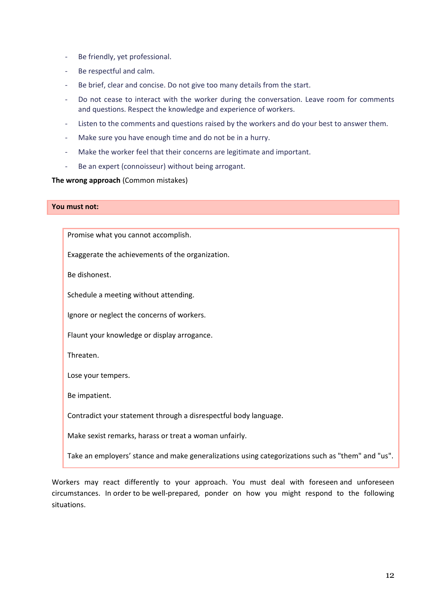- Be friendly, yet professional.
- Be respectful and calm.
- Be brief, clear and concise. Do not give too many details from the start.
- Do not cease to interact with the worker during the conversation. Leave room for comments and questions. Respect the knowledge and experience of workers.
- Listen to the comments and questions raised by the workers and do your best to answer them.
- Make sure you have enough time and do not be in a hurry.
- Make the worker feel that their concerns are legitimate and important.
- Be an expert (connoisseur) without being arrogant.

# **The wrong approach** (Common mistakes)

# **You must not:**

Promise what you cannot accomplish.

Exaggerate the achievements of the organization.

Be dishonest.

Schedule a meeting without attending.

Ignore or neglect the concerns of workers.

Flaunt your knowledge or display arrogance.

Threaten.

Lose your tempers.

Be impatient.

Contradict your statement through a disrespectful body language.

Make sexist remarks, harass or treat a woman unfairly.

Take an employers' stance and make generalizations using categorizations such as "them" and "us".

Workers may react differently to your approach. You must deal with foreseen and unforeseen circumstances. In order to be well-prepared, ponder on how you might respond to the following situations.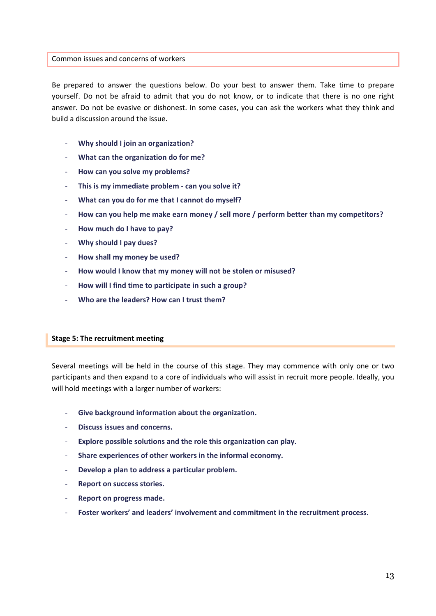#### Common issues and concerns of workers

Be prepared to answer the questions below. Do your best to answer them. Take time to prepare yourself. Do not be afraid to admit that you do not know, or to indicate that there is no one right answer. Do not be evasive or dishonest. In some cases, you can ask the workers what they think and build a discussion around the issue.

- **Why should I join an organization?**
- **What can the organization do for me?**
- **How can you solve my problems?**
- **This is my immediate problem - can you solve it?**
- **What can you do for me that I cannot do myself?**
- **How can you help me make earn money / sell more / perform better than my competitors?**
- **How much do I have to pay?**
- **Why should I pay dues?**
- **How shall my money be used?**
- **How would I know that my money will not be stolen or misused?**
- **How will I find time to participate in such a group?**
- **Who are the leaders? How can I trust them?**

# **Stage 5: The recruitment meeting**

Several meetings will be held in the course of this stage. They may commence with only one or two participants and then expand to a core of individuals who will assist in recruit more people. Ideally, you will hold meetings with a larger number of workers:

- **Give background information about the organization.**
- **Discuss issues and concerns.**
- **Explore possible solutions and the role this organization can play.**
- **Share experiences of other workers in the informal economy.**
- **Develop a plan to address a particular problem.**
- **Report on success stories.**
- **Report on progress made.**
- **Foster workers' and leaders' involvement and commitment in the recruitment process.**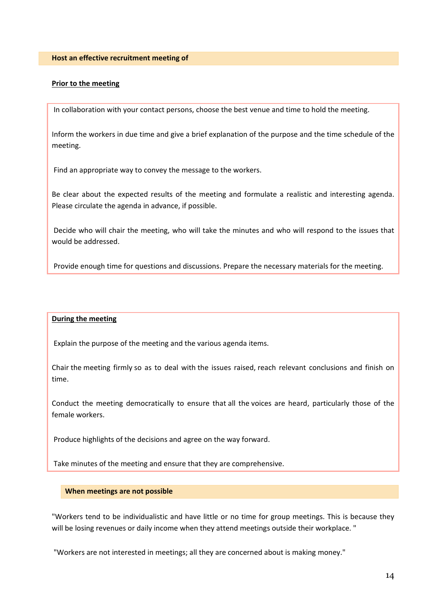#### **Prior to the meeting**

In collaboration with your contact persons, choose the best venue and time to hold the meeting.

Inform the workers in due time and give a brief explanation of the purpose and the time schedule of the meeting.

Find an appropriate way to convey the message to the workers.

Be clear about the expected results of the meeting and formulate a realistic and interesting agenda. Please circulate the agenda in advance, if possible.

Decide who will chair the meeting, who will take the minutes and who will respond to the issues that would be addressed.

Provide enough time for questions and discussions. Prepare the necessary materials for the meeting.

#### **During the meeting**

Explain the purpose of the meeting and the various agenda items.

Chair the meeting firmly so as to deal with the issues raised, reach relevant conclusions and finish on time.

Conduct the meeting democratically to ensure that all the voices are heard, particularly those of the female workers.

Produce highlights of the decisions and agree on the way forward.

Take minutes of the meeting and ensure that they are comprehensive.

#### **When meetings are not possible**

"Workers tend to be individualistic and have little or no time for group meetings. This is because they will be losing revenues or daily income when they attend meetings outside their workplace. "

"Workers are not interested in meetings; all they are concerned about is making money."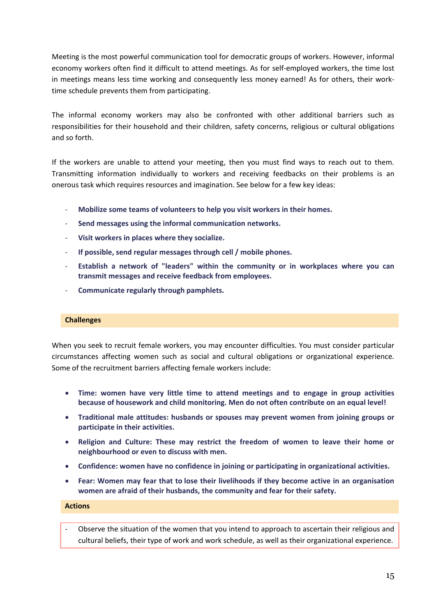Meeting is the most powerful communication tool for democratic groups of workers. However, informal economy workers often find it difficult to attend meetings. As for self-employed workers, the time lost in meetings means less time working and consequently less money earned! As for others, their worktime schedule prevents them from participating.

The informal economy workers may also be confronted with other additional barriers such as responsibilities for their household and their children, safety concerns, religious or cultural obligations and so forth.

If the workers are unable to attend your meeting, then you must find ways to reach out to them. Transmitting information individually to workers and receiving feedbacks on their problems is an onerous task which requires resources and imagination. See below for a few key ideas:

- **Mobilize some teams of volunteers to help you visit workers in their homes.**
- **Send messages using the informal communication networks.**
- **Visit workers in places where they socialize.**
- **If possible, send regular messages through cell / mobile phones.**
- **Establish a network of "leaders" within the community or in workplaces where you can transmit messages and receive feedback from employees.**
- **Communicate regularly through pamphlets.**

#### **Challenges**

When you seek to recruit female workers, you may encounter difficulties. You must consider particular circumstances affecting women such as social and cultural obligations or organizational experience. Some of the recruitment barriers affecting female workers include:

- **Time: women have very little time to attend meetings and to engage in group activities because of housework and child monitoring. Men do not often contribute on an equal level!**
- **Traditional male attitudes: husbands or spouses may prevent women from joining groups or participate in their activities.**
- **Religion and Culture: These may restrict the freedom of women to leave their home or neighbourhood or even to discuss with men.**
- **Confidence: women have no confidence in joining or participating in organizational activities.**
- **Fear: Women may fear that to lose their livelihoods if they become active in an organisation women are afraid of their husbands, the community and fear for their safety.**

#### **Actions**

- Observe the situation of the women that you intend to approach to ascertain their religious and cultural beliefs, their type of work and work schedule, as well as their organizational experience.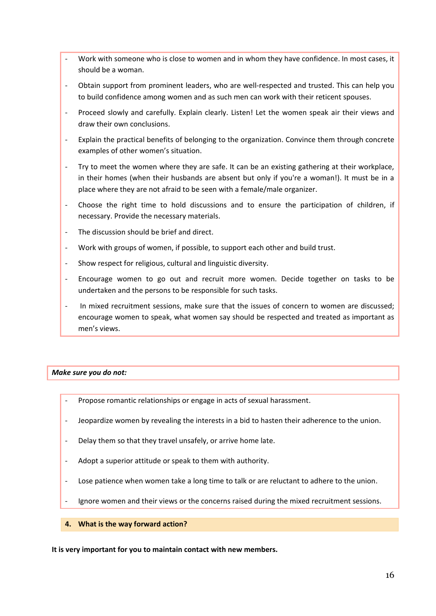- Work with someone who is close to women and in whom they have confidence. In most cases, it should be a woman.
- Obtain support from prominent leaders, who are well-respected and trusted. This can help you to build confidence among women and as such men can work with their reticent spouses.
- Proceed slowly and carefully. Explain clearly. Listen! Let the women speak air their views and draw their own conclusions.
- Explain the practical benefits of belonging to the organization. Convince them through concrete examples of other women's situation.
- Try to meet the women where they are safe. It can be an existing gathering at their workplace, in their homes (when their husbands are absent but only if you're a woman!). It must be in a place where they are not afraid to be seen with a female/male organizer.
- Choose the right time to hold discussions and to ensure the participation of children, if necessary. Provide the necessary materials.
- The discussion should be brief and direct.
- Work with groups of women, if possible, to support each other and build trust.
- Show respect for religious, cultural and linguistic diversity.
- Encourage women to go out and recruit more women. Decide together on tasks to be undertaken and the persons to be responsible for such tasks.
- In mixed recruitment sessions, make sure that the issues of concern to women are discussed; encourage women to speak, what women say should be respected and treated as important as men's views.

# *Make sure you do not:*

- Propose romantic relationships or engage in acts of sexual harassment.
- Jeopardize women by revealing the interests in a bid to hasten their adherence to the union.
- Delay them so that they travel unsafely, or arrive home late.
- Adopt a superior attitude or speak to them with authority.
- Lose patience when women take a long time to talk or are reluctant to adhere to the union.
- Ignore women and their views or the concerns raised during the mixed recruitment sessions.
- **4. What is the way forward action?**

**It is very important for you to maintain contact with new members.**